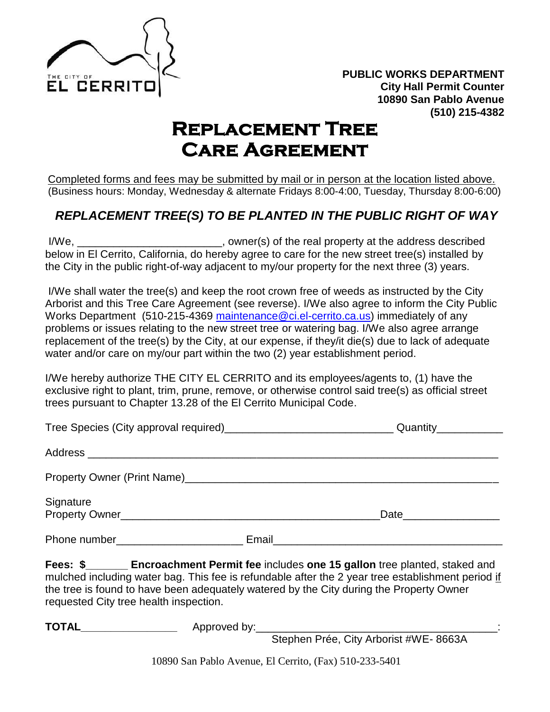

## **Replacement Tree Care Agreement**

Completed forms and fees may be submitted by mail or in person at the location listed above. (Business hours: Monday, Wednesday & alternate Fridays 8:00-4:00, Tuesday, Thursday 8:00-6:00)

## *REPLACEMENT TREE(S) TO BE PLANTED IN THE PUBLIC RIGHT OF WAY*

I/We, \_\_\_\_\_\_\_\_\_\_\_\_\_\_\_\_\_\_\_\_\_\_\_\_, owner(s) of the real property at the address described below in El Cerrito, California, do hereby agree to care for the new street tree(s) installed by the City in the public right-of-way adjacent to my/our property for the next three (3) years.

I/We shall water the tree(s) and keep the root crown free of weeds as instructed by the City Arborist and this Tree Care Agreement (see reverse). I/We also agree to inform the City Public Works Department (510-215-4369 [maintenance@ci.el-cerrito.ca.us\)](mailto:maintenance@ci.el-cerrito.ca.us) immediately of any problems or issues relating to the new street tree or watering bag. I/We also agree arrange replacement of the tree(s) by the City, at our expense, if they/it die(s) due to lack of adequate water and/or care on my/our part within the two (2) year establishment period.

I/We hereby authorize THE CITY EL CERRITO and its employees/agents to, (1) have the exclusive right to plant, trim, prune, remove, or otherwise control said tree(s) as official street trees pursuant to Chapter 13.28 of the El Cerrito Municipal Code.

|              |       | Quantity <sub>11</sub> |  |
|--------------|-------|------------------------|--|
|              |       |                        |  |
|              |       |                        |  |
| Signature    |       |                        |  |
| Phone number | Email |                        |  |

**Fees: \$** Encroachment Permit fee includes one 15 gallon tree planted, staked and mulched including water bag. This fee is refundable after the 2 year tree establishment period if the tree is found to have been adequately watered by the City during the Property Owner requested City tree health inspection.

| <b>TOTAI</b> | $\Lambda$ nnro $\Lambda$<br>bv: |  |
|--------------|---------------------------------|--|
| ‴~           | JVUJ<br>ヽレヽ                     |  |

Stephen Prée, City Arborist #WE- 8663A

10890 San Pablo Avenue, El Cerrito, (Fax) 510-233-5401